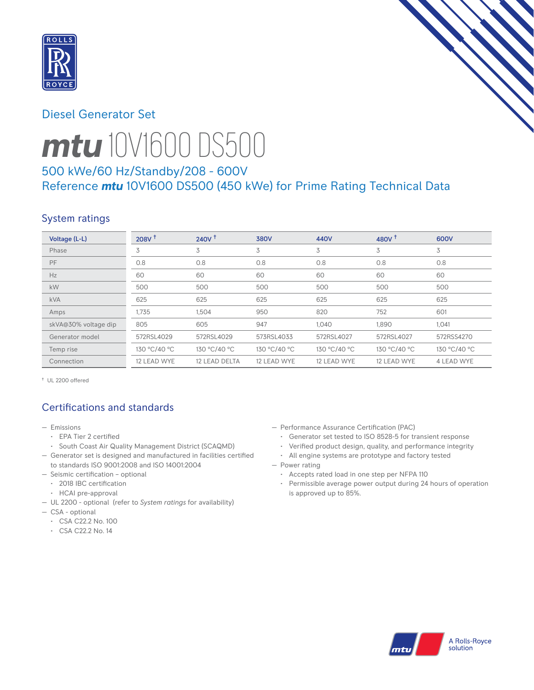

# Diesel Generator Set



# *mtu* 10V1600 DS500

# 500 kWe/60 Hz/Standby/208 - 600V Reference *mtu* 10V1600 DS500 (450 kWe) for Prime Rating Technical Data

# System ratings

| Voltage (L-L)        | 208V <sup>†</sup> | 240V <sup>†</sup> | <b>380V</b>  | 440V         | 480V $†$     | 600V         |
|----------------------|-------------------|-------------------|--------------|--------------|--------------|--------------|
| Phase                | 3                 | 3                 | 3            | 3            | 3            | 3            |
| PF                   | 0.8               | 0.8               | 0.8          | 0.8          | 0.8          | 0.8          |
| Hz                   | 60                | 60                | 60           | 60           | 60           | 60           |
| kW                   | 500               | 500               | 500          | 500          | 500          | 500          |
| <b>kVA</b>           | 625               | 625               | 625          | 625          | 625          | 625          |
| Amps                 | 1,735             | 1,504             | 950          | 820          | 752          | 601          |
| skVA@30% voltage dip | 805               | 605               | 947          | 1.040        | 1,890        | 1,041        |
| Generator model      | 572RSL4029        | 572RSL4029        | 573RSL4033   | 572RSL4027   | 572RSL4027   | 572RSS4270   |
| Temp rise            | 130 °C/40 °C      | 130 °C/40 °C      | 130 °C/40 °C | 130 °C/40 °C | 130 °C/40 °C | 130 °C/40 °C |
| Connection           | 12 LEAD WYE       | 12 LEAD DELTA     | 12 LEAD WYE  | 12 LEAD WYE  | 12 LEAD WYE  | 4 LEAD WYE   |

† UL 2200 offered

# Certifications and standards

- Emissions
	- EPA Tier 2 certified
- South Coast Air Quality Management District (SCAQMD)
- Generator set is designed and manufactured in facilities certified to standards ISO 9001:2008 and ISO 14001:2004
- Seismic certification optional
- 2018 IBC certification
- HCAI pre-approval
- UL 2200 optional (refer to *System ratings* for availability)
- CSA optional
	- CSA C22.2 No. 100
	- CSA C22.2 No. 14
- Performance Assurance Certification (PAC)
	- Generator set tested to ISO 8528-5 for transient response
	- Verified product design, quality, and performance integrity
	- All engine systems are prototype and factory tested
- Power rating
	- Accepts rated load in one step per NFPA 110
	- Permissible average power output during 24 hours of operation is approved up to 85%.

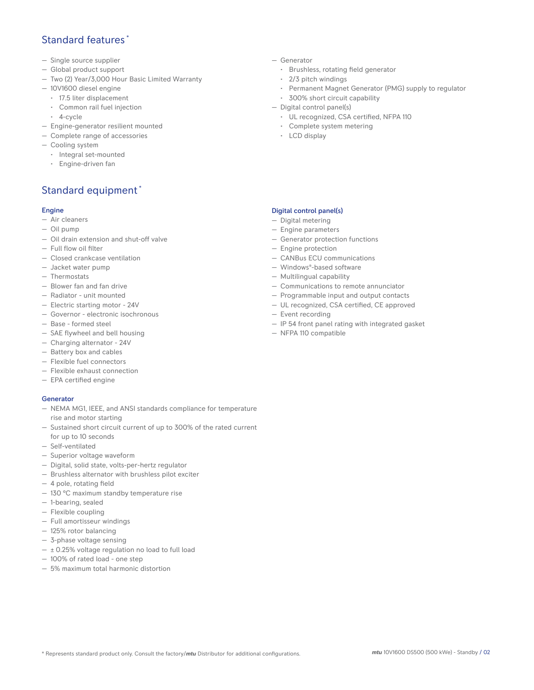## Standard features \*

- Single source supplier
- Global product support
- Two (2) Year/3,000 Hour Basic Limited Warranty
- 10V1600 diesel engine
	- 17.5 liter displacement
	- Common rail fuel injection
	- 4-cycle
- Engine-generator resilient mounted
- Complete range of accessories
- Cooling system
- Integral set-mounted
	- Engine-driven fan

# Standard equipment \*

#### Engine

- Air cleaners
- Oil pump
- Oil drain extension and shut-off valve
- Full flow oil filter
- Closed crankcase ventilation
- Jacket water pump
- Thermostats
- Blower fan and fan drive
- Radiator unit mounted
- Electric starting motor 24V
- Governor electronic isochronous
- Base formed steel
- SAE flywheel and bell housing
- Charging alternator 24V
- Battery box and cables
- Flexible fuel connectors
- Flexible exhaust connection
- EPA certified engine

#### **Generator**

- NEMA MG1, IEEE, and ANSI standards compliance for temperature rise and motor starting
- Sustained short circuit current of up to 300% of the rated current for up to 10 seconds
- Self-ventilated
- Superior voltage waveform
- Digital, solid state, volts-per-hertz regulator
- Brushless alternator with brushless pilot exciter
- 4 pole, rotating field
- 130 °C maximum standby temperature rise
- 1-bearing, sealed
- Flexible coupling
- Full amortisseur windings
- 125% rotor balancing
- 3-phase voltage sensing
- $\pm$  0.25% voltage regulation no load to full load
- 100% of rated load one step
- 5% maximum total harmonic distortion
- Generator
	- Brushless, rotating field generator
	- 2/3 pitch windings
	- Permanent Magnet Generator (PMG) supply to regulator
	- 300% short circuit capability
- Digital control panel(s)
	- UL recognized, CSA certified, NFPA 110
	- Complete system metering
	- LCD display

#### Digital control panel(s)

- Digital metering
- Engine parameters
- Generator protection functions
- Engine protection
- CANBus ECU communications
- Windows®-based software
- Multilingual capability
- Communications to remote annunciator
- Programmable input and output contacts
- UL recognized, CSA certified, CE approved
- Event recording
- IP 54 front panel rating with integrated gasket
- NFPA 110 compatible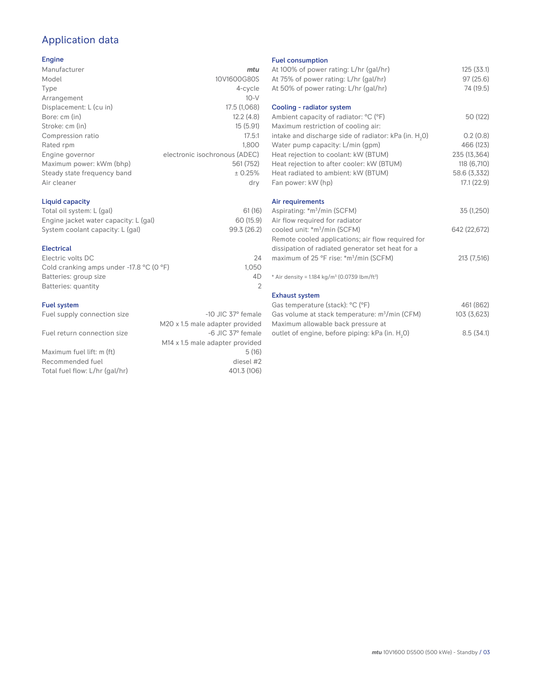# Application data

#### Engine

| Manufacturer                | mtu                           |
|-----------------------------|-------------------------------|
| Model                       | 10V1600G80S                   |
| Type                        | 4-cycle                       |
| Arrangement                 | $10-V$                        |
| Displacement: L (cu in)     | 17.5 (1,068)                  |
| Bore: cm (in)               | 12.2(4.8)                     |
| Stroke: cm (in)             | 15(5.91)                      |
| Compression ratio           | 17.5:1                        |
| Rated rpm                   | 1.800                         |
| Engine governor             | electronic isochronous (ADEC) |
| Maximum power: kWm (bhp)    | 561 (752)                     |
| Steady state frequency band | ± 0.25%                       |
| Air cleaner                 | dry                           |
|                             |                               |

## Liquid capacity

| Total oil system: L (gal)             | 61(16)      |
|---------------------------------------|-------------|
| Engine jacket water capacity: L (gal) | 60 (15.9)   |
| System coolant capacity: L (gal)      | 99.3 (26.2) |

#### Electrical

| Electric volts DC                                            | 24    |
|--------------------------------------------------------------|-------|
| Cold cranking amps under -17.8 $^{\circ}$ C (O $^{\circ}$ F) | 1.050 |
| Batteries: group size                                        | 4D    |
| Batteries: quantity                                          |       |
|                                                              |       |

#### Fuel system

| Fuel supply connection size    | $-10$ JIC 37 $\degree$ female               |
|--------------------------------|---------------------------------------------|
|                                | M20 x 1.5 male adapter provided             |
| Fuel return connection size    | -6 JIC 37° female                           |
|                                | M <sub>14</sub> x 1.5 male adapter provided |
| Maximum fuel lift: m (ft)      | 5(16)                                       |
| Recommended fuel               | diesel #2                                   |
| Total fuel flow: L/hr (gal/hr) | 401.3 (106)                                 |
|                                |                                             |

### Fuel consumption

| <b>Fuel Consumption</b>                                              |              |
|----------------------------------------------------------------------|--------------|
| At 100% of power rating: L/hr (gal/hr)                               | 125(33.1)    |
| At 75% of power rating: L/hr (gal/hr)                                | 97(25.6)     |
| At 50% of power rating: L/hr (gal/hr)                                | 74 (19.5)    |
|                                                                      |              |
| Cooling - radiator system                                            |              |
| Ambient capacity of radiator: °C (°F)                                | 50 (122)     |
| Maximum restriction of cooling air:                                  |              |
| intake and discharge side of radiator: kPa (in. H <sub>2</sub> 0)    | 0.2(0.8)     |
| Water pump capacity: L/min (gpm)                                     | 466 (123)    |
| Heat rejection to coolant: kW (BTUM)                                 | 235 (13,364) |
| Heat rejection to after cooler: kW (BTUM)                            | 118 (6,710)  |
| Heat radiated to ambient: kW (BTUM)                                  | 58.6 (3,332) |
| Fan power: kW (hp)                                                   | 17.1(22.9)   |
| Air requirements                                                     |              |
| Aspirating: *m <sup>3</sup> /min (SCFM)                              | 35 (1,250)   |
| Air flow required for radiator                                       |              |
| cooled unit: *m <sup>3</sup> /min (SCFM)                             | 642 (22,672) |
| Remote cooled applications; air flow required for                    |              |
|                                                                      |              |
| dissipation of radiated generator set heat for a                     |              |
| maximum of 25 °F rise: *m <sup>3</sup> /min (SCFM)                   | 213(7,516)   |
| * Air density = $1.184 \text{ kg/m}^3$ (0.0739 lbm/ft <sup>3</sup> ) |              |
| <b>Exhaust system</b>                                                |              |
| Gas temperature (stack): °C (°F)                                     | 461 (862)    |
| Gas volume at stack temperature: m <sup>3</sup> /min (CFM)           | 103 (3,623)  |
| المستحور بمحجوب والمحامل والماجين والمستحدث بموارده الرا             |              |

| Gas volume at stack temperature: m <sup>3</sup> /min (CFM) | 103 (3,623) |
|------------------------------------------------------------|-------------|
| Maximum allowable back pressure at                         |             |
| outlet of engine, before piping: kPa (in. H.O)             | 8.5(34.1)   |